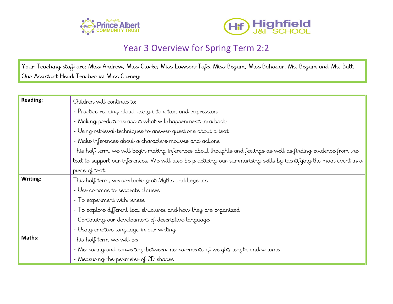



## Year 3 Overview for Spring Term 2:2

Your Teaching staff are: Miss Andrew, Miss Clarke, Miss Lawson-Tafe, Miss Begum, Miss Bahadar, Ms. Begum and Ms. Butt. Our Assistant Head Teacher is: Miss Carney

| <b>Reading:</b> | Children will continue to;                                                                                           |
|-----------------|----------------------------------------------------------------------------------------------------------------------|
|                 | - Practice reading aloud using intonation and expression                                                             |
|                 | - Making predictions about what will happen next in a book                                                           |
|                 | - Using retrieval techniques to answer questions about a text                                                        |
|                 | - Make inferences about a characters motives and actions                                                             |
|                 | This half term, we will begin making inferences about thoughts and feelings as well as finding evidence from the     |
|                 | text to support our inferences. We will also be practicing our summarising skills by identifying the main event in a |
|                 | piece of text.                                                                                                       |
| Writing:        | This half term, we are looking at Myths and Legends.                                                                 |
|                 | - Use commas to separate clauses                                                                                     |
|                 | - To experiment with tenses                                                                                          |
|                 | - To explore different text structures and how they are organized                                                    |
|                 | - Continuing our development of descriptive language                                                                 |
|                 | - Using emotive language in our writing                                                                              |
| Maths:          | This half term we will be;                                                                                           |
|                 | - Measuring and converting between measurements of weight, length and volume.                                        |
|                 | - Measuring the perimeter of 2D shapes                                                                               |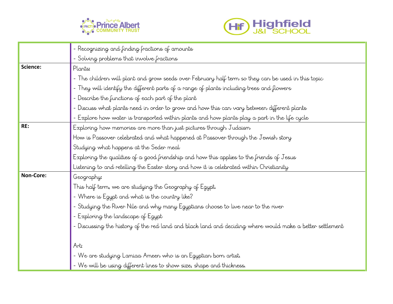



|                  | Recognizing and finding fractions of amounts                                                              |
|------------------|-----------------------------------------------------------------------------------------------------------|
|                  | - Solving problems that involve fractions                                                                 |
| Science:         | Plants:                                                                                                   |
|                  | - The children will plant and grow seeds over February half term so they can be used in this topic        |
|                  | - They will identify the different parts of a range of plants including trees and flowers                 |
|                  | - Describe the functions of each part of the plant                                                        |
|                  | - Discuss what plants need in order to grow and how this can vary between different plants                |
|                  | - Explore how water is transported within plants and how plants play a part in the life cycle             |
| RE:              | Exploring how memories are more than just pictures through Judaism                                        |
|                  | How is Passover celebrated and what happened at Passover through the Jewish story                         |
|                  | Studying what happens at the Seder meal                                                                   |
|                  | Exploring the qualities of a good friendship and how this applies to the friends of Jesus                 |
|                  | Listening to and retelling the Easter story and how it is celebrated within Christianity                  |
| <b>Non-Core:</b> | Geography:                                                                                                |
|                  | This half term, we are studying the Geography of Egypt.                                                   |
|                  | - Where is Egypt and what is the country like?                                                            |
|                  | - Studying the River Nile and why many Egyptians choose to live near to the river                         |
|                  | - Exploring the landscape of Egypt                                                                        |
|                  | - Discussing the history of the red land and black land and deciding where would make a better settlement |
|                  |                                                                                                           |
|                  | Arti                                                                                                      |
|                  | - We are studying Lamiaa Ameen who is an Egyptian born artist.                                            |
|                  | - We will be using different lines to show size, shape and thickness.                                     |